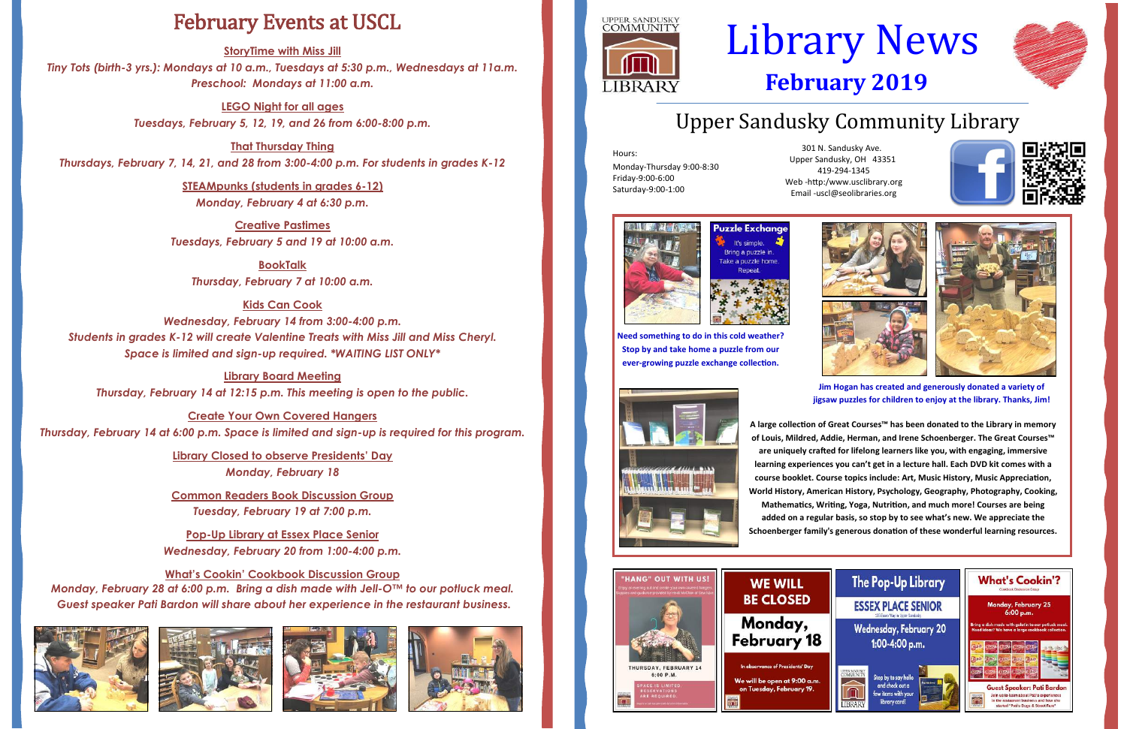# Upper Sandusky Community Library

Hours: Monday-Thursday 9:00-8:30 Friday-9:00-6:00 Saturday-9:00-1:00

# Library News **February 2019**

301 N. Sandusky Ave. Upper Sandusky, OH 43351 419-294-1345 Web -http:/www.usclibrary.org Email -uscl@seolibraries.org





## February Events at USCL

**StoryTime with Miss Jill**

*Tiny Tots (birth-3 yrs.): Mondays at 10 a.m., Tuesdays at 5:30 p.m., Wednesdays at 11a.m. Preschool: Mondays at 11:00 a.m.*

> **LEGO Night for all ages** *Tuesdays, February 5, 12, 19, and 26 from 6:00-8:00 p.m.*

**That Thursday Thing** *Thursdays, February 7, 14, 21, and 28 from 3:00-4:00 p.m. For students in grades K-12*

> **STEAMpunks (students in grades 6-12)** *Monday, February 4 at 6:30 p.m.*

**Creative Pastimes** *Tuesdays, February 5 and 19 at 10:00 a.m.*

**BookTalk**  *Thursday, February 7 at 10:00 a.m.*

**Kids Can Cook** *Wednesday, February 14 from 3:00-4:00 p.m. Students in grades K-12 will create Valentine Treats with Miss Jill and Miss Cheryl. Space is limited and sign-up required. \*WAITING LIST ONLY\**

**Library Board Meeting** *Thursday, February 14 at 12:15 p.m. This meeting is open to the public.*

**Create Your Own Covered Hangers**  *Thursday, February 14 at 6:00 p.m. Space is limited and sign-up is required for this program.*

> **Library Closed to observe Presidents' Day** *Monday, February 18*

> **Common Readers Book Discussion Group** *Tuesday, February 19 at 7:00 p.m.*

**Pop-Up Library at Essex Place Senior** *Wednesday, February 20 from 1:00-4:00 p.m.*

**What's Cookin' Cookbook Discussion Group** *Monday, February 28 at 6:00 p.m. Bring a dish made with Jell-O™ to our potluck meal. Guest speaker Pati Bardon will share about her experience in the restaurant business.*











**Need something to do in this cold weather? Stop by and take home a puzzle from our ever-growing puzzle exchange collection.**





**Jim Hogan has created and generously donated a variety of jigsaw puzzles for children to enjoy at the library. Thanks, Jim!**



**A large collection of Great Courses™ has been donated to the Library in memory of Louis, Mildred, Addie, Herman, and Irene Schoenberger. The Great Courses™ are uniquely crafted for lifelong learners like you, with engaging, immersive learning experiences you can't get in a lecture hall. Each DVD kit comes with a course booklet. Course topics include: Art, Music History, Music Appreciation, World History, American History, Psychology, Geography, Photography, Cooking, Mathematics, Writing, Yoga, Nutrition, and much more! Courses are being added on a regular basis, so stop by to see what's new. We appreciate the Schoenberger family's generous donation of these wonderful learning resources.** 



### **WE WILL BE CLOSED**

Monday, February 18

We will be open at 9:00 a.m. on Tuesday, February 19.